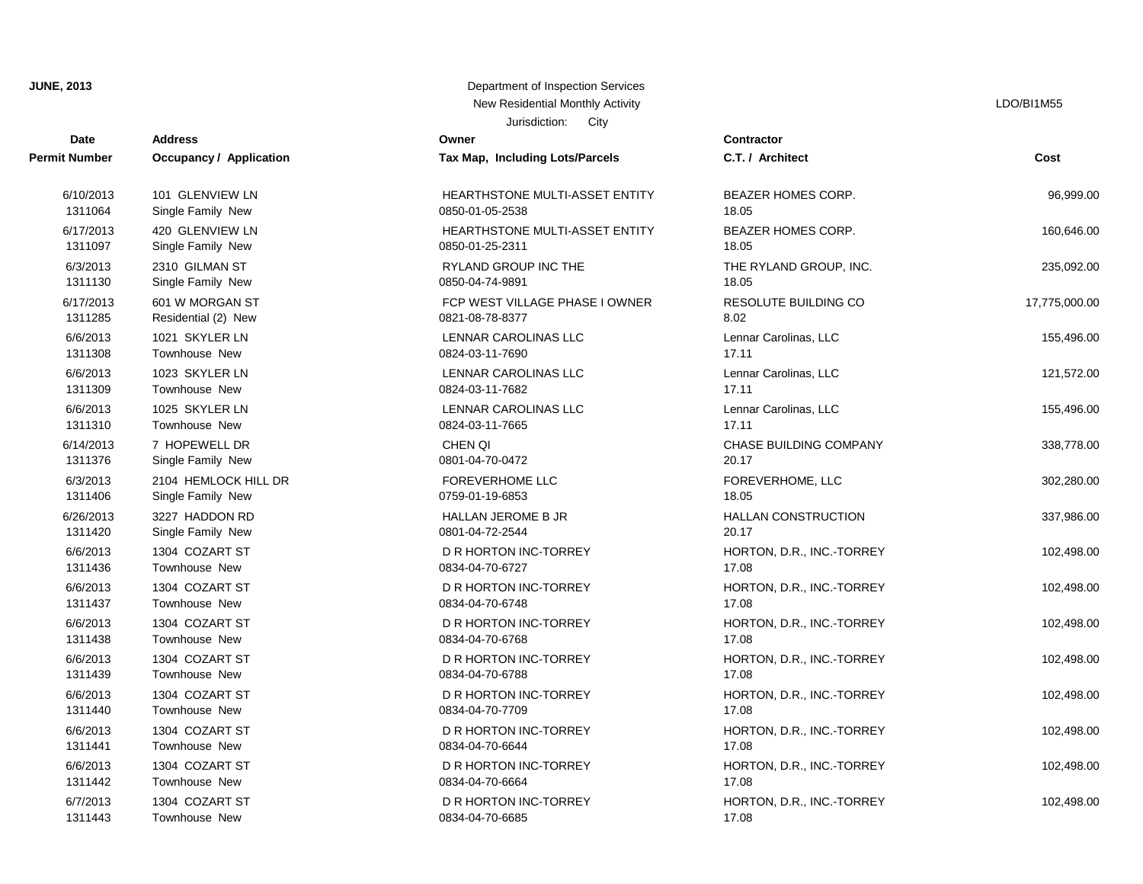**JUNE, 2013** Department of Inspection Services

# Jurisdiction: City**Date Contractor** 1311443 Townhouse New 20034-04-70-6685 1311442 Townhouse New 20034-04-70-6664 2011442 Townhouse New 20034-04-70-6664 6/7/2013 1304 COZART ST **DR HORTON INC-TORREY HORTON, D.R., INC.-TORREY** 102,498.00 1311441 Townhouse New 2008 10834-04-70-6644 2008 17.08 6/6/2013 1304 COZART ST DR HORTON INC-TORREY HORTON, D.R., INC.-TORREY 102,498.00 1311440 Townhouse New 0834-04-70-7709 17.08 6/6/2013 1304 COZART ST DR HORTON INC-TORREY HORTON, D.R., INC.-TORREY 102,498.00 1311439 Townhouse New 2008 1890 1834-04-70-6788 17.08 6/6/2013 1304 COZART ST DR HORTON INC-TORREY HORTON, D.R., INC.-TORREY 102,498.00 1311438 Townhouse New 20034-04-70-6768 17.08 6/6/2013 1304 COZART ST **DR HORTON INC-TORREY HORTON, D.R., INC.-TORREY** 102,498.00 1311437 Townhouse New 20034-04-70-6748 2011 17:08 6/6/2013 1304 COZART ST D R HORTON INC-TORREY HORTON, D.R., INC.-TORREY 102,498.00 1311436 Townhouse New 20034-04-70-6727 17.08 6/6/2013 1304 COZART ST **DR HORTON INC-TORREY HORTON, D.R., INC.-TORREY** 102,498.00 1311420 Single Family New 0801-04-72-2544 20.17 6/6/2013 1304 COZART ST DR HORTON INC-TORREY HORTON, D.R., INC.-TORREY 102,498.00 1311406 Single Family New 2015 18:05 0759-01-19-6853 6/26/2013 3227 HADDON RD HALLAN JEROME B JR HALLAN CONSTRUCTION 337,986.00 1311376 Single Family New 0801-04-70-0472 20.17 6/3/2013 2104 HEMLOCK HILL DR FOREVERHOME LLC FOREVERHOME, LLC 302,280.00 1311310 Townhouse New 0824-03-11-7665 17.11 6/14/2013 7 HOPEWELL DR CHEN QI CHASE BUILDING COMPANY 338,778.00 1311309 Townhouse New 20024-03-11-7682 6/6/2013 1025 SKYLER LN LENNAR CAROLINAS LLC Lennar Carolinas, LLC 155,496.00 1311308 Townhouse New 0824-03-11-7690 17.11 6/6/2013 1023 SKYLER LN LENNAR CAROLINAS LLC Lennar Carolinas, LLC 121,572.00 1311285 Residential (2) New 0821-08-78-8377 8.02 6/6/2013 1021 SKYLER LN LENNAR CAROLINAS LLC Lennar Carolinas, LLC 155,496.00 1311130 Single Family New 0850-04-74-9891 0850-04-74-9891 6/17/2013 601 W MORGAN ST FCP WEST VILLAGE PHASE I OWNER RESOLUTE BUILDING CO 17,775,000.00 1311097 Single Family New 20850-01-25-2311 6/3/2013 2310 GILMAN ST CONSUMING ROUP INC THE CONSUMING THE RYLAND GROUP, INC. 235,092.00 1311064 Single Family New 20850-01-05-2538 6/17/2013 420 GLENVIEW LN HEARTHSTONE MULTI-ASSET ENTITY BEAZER HOMES CORP. 160,646.00 6/10/2013 101 GLENVIEW LN HEARTHSTONE MULTI-ASSET ENTITY BEAZER HOMES CORP. 96,999.00 **Address Owner Permit Number Occupancy / Application Tax Map, Including Lots/Parcels C.T. / Architect**

**Cost**

#### New Residential Monthly Activity **LACTION** CONSULTER THE RESIDENT OF THE RESIDENT OF THE RESIDENT OF THE RESIDENT OF THE RESIDENT OF THE RESIDENT OF THE RESIDENT OF THE RESIDENT OF THE RESIDENT OF THE RESIDENT OF THE RESID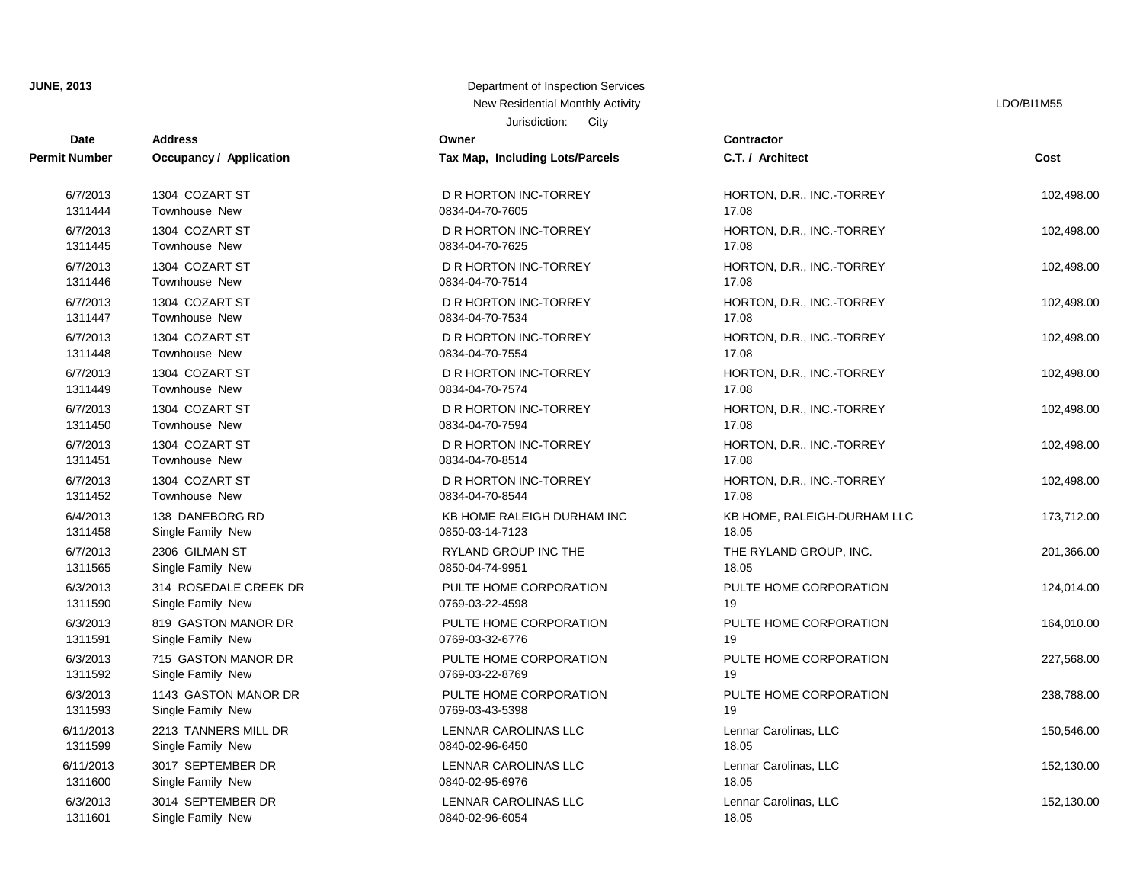## Jurisdiction: City **JUNE, 2013** Department of Inspection Services New Residential Monthly Activity **Little Structure Control** Control of the LDO/BI1M55

| <b>Date</b>          | <b>Address</b>          | JUISUIVIIJI.<br>ب س<br>Owner    | Contractor                  |            |
|----------------------|-------------------------|---------------------------------|-----------------------------|------------|
| <b>Permit Number</b> | Occupancy / Application | Tax Map, Including Lots/Parcels | C.T. / Architect            | Cost       |
| 6/7/2013             | 1304 COZART ST          | D R HORTON INC-TORREY           | HORTON, D.R., INC.-TORREY   | 102,498.00 |
| 1311444              | <b>Townhouse New</b>    | 0834-04-70-7605                 | 17.08                       |            |
| 6/7/2013             | 1304 COZART ST          | D R HORTON INC-TORREY           | HORTON, D.R., INC.-TORREY   | 102,498.00 |
| 1311445              | <b>Townhouse New</b>    | 0834-04-70-7625                 | 17.08                       |            |
| 6/7/2013             | 1304 COZART ST          | D R HORTON INC-TORREY           | HORTON, D.R., INC.-TORREY   | 102,498.00 |
| 1311446              | Townhouse New           | 0834-04-70-7514                 | 17.08                       |            |
| 6/7/2013             | 1304 COZART ST          | D R HORTON INC-TORREY           | HORTON, D.R., INC.-TORREY   | 102,498.00 |
| 1311447              | <b>Townhouse New</b>    | 0834-04-70-7534                 | 17.08                       |            |
| 6/7/2013             | 1304 COZART ST          | D R HORTON INC-TORREY           | HORTON, D.R., INC.-TORREY   | 102,498.00 |
| 1311448              | <b>Townhouse New</b>    | 0834-04-70-7554                 | 17.08                       |            |
| 6/7/2013             | 1304 COZART ST          | D R HORTON INC-TORREY           | HORTON, D.R., INC.-TORREY   | 102,498.00 |
| 1311449              | Townhouse New           | 0834-04-70-7574                 | 17.08                       |            |
| 6/7/2013             | 1304 COZART ST          | D R HORTON INC-TORREY           | HORTON, D.R., INC.-TORREY   | 102,498.00 |
| 1311450              | <b>Townhouse New</b>    | 0834-04-70-7594                 | 17.08                       |            |
| 6/7/2013             | 1304 COZART ST          | D R HORTON INC-TORREY           | HORTON, D.R., INC.-TORREY   | 102,498.00 |
| 1311451              | Townhouse New           | 0834-04-70-8514                 | 17.08                       |            |
| 6/7/2013             | 1304 COZART ST          | D R HORTON INC-TORREY           | HORTON, D.R., INC.-TORREY   | 102,498.00 |
| 1311452              | <b>Townhouse New</b>    | 0834-04-70-8544                 | 17.08                       |            |
| 6/4/2013             | 138 DANEBORG RD         | KB HOME RALEIGH DURHAM INC      | KB HOME, RALEIGH-DURHAM LLC | 173,712.00 |
| 1311458              | Single Family New       | 0850-03-14-7123                 | 18.05                       |            |
| 6/7/2013             | 2306 GILMAN ST          | RYLAND GROUP INC THE            | THE RYLAND GROUP, INC.      | 201,366.00 |
| 1311565              | Single Family New       | 0850-04-74-9951                 | 18.05                       |            |
| 6/3/2013             | 314 ROSEDALE CREEK DR   | PULTE HOME CORPORATION          | PULTE HOME CORPORATION      | 124,014.00 |
| 1311590              | Single Family New       | 0769-03-22-4598                 | 19                          |            |
| 6/3/2013             | 819 GASTON MANOR DR     | PULTE HOME CORPORATION          | PULTE HOME CORPORATION      | 164,010.00 |
| 1311591              | Single Family New       | 0769-03-32-6776                 | 19                          |            |
| 6/3/2013             | 715 GASTON MANOR DR     | PULTE HOME CORPORATION          | PULTE HOME CORPORATION      | 227,568.00 |
| 1311592              | Single Family New       | 0769-03-22-8769                 | 19                          |            |
| 6/3/2013             | 1143 GASTON MANOR DR    | PULTE HOME CORPORATION          | PULTE HOME CORPORATION      | 238,788.00 |
| 1311593              | Single Family New       | 0769-03-43-5398                 | 19                          |            |
| 6/11/2013            | 2213 TANNERS MILL DR    | LENNAR CAROLINAS LLC            | Lennar Carolinas, LLC       | 150,546.00 |
| 1311599              | Single Family New       | 0840-02-96-6450                 | 18.05                       |            |
| 6/11/2013            | 3017 SEPTEMBER DR       | LENNAR CAROLINAS LLC            | Lennar Carolinas, LLC       | 152,130.00 |
| 1311600              | Single Family New       | 0840-02-95-6976                 | 18.05                       |            |
| 6/3/2013             | 3014 SEPTEMBER DR       | LENNAR CAROLINAS LLC            | Lennar Carolinas, LLC       | 152,130.00 |
| 1311601              | Single Family New       | 0840-02-96-6054                 | 18.05                       |            |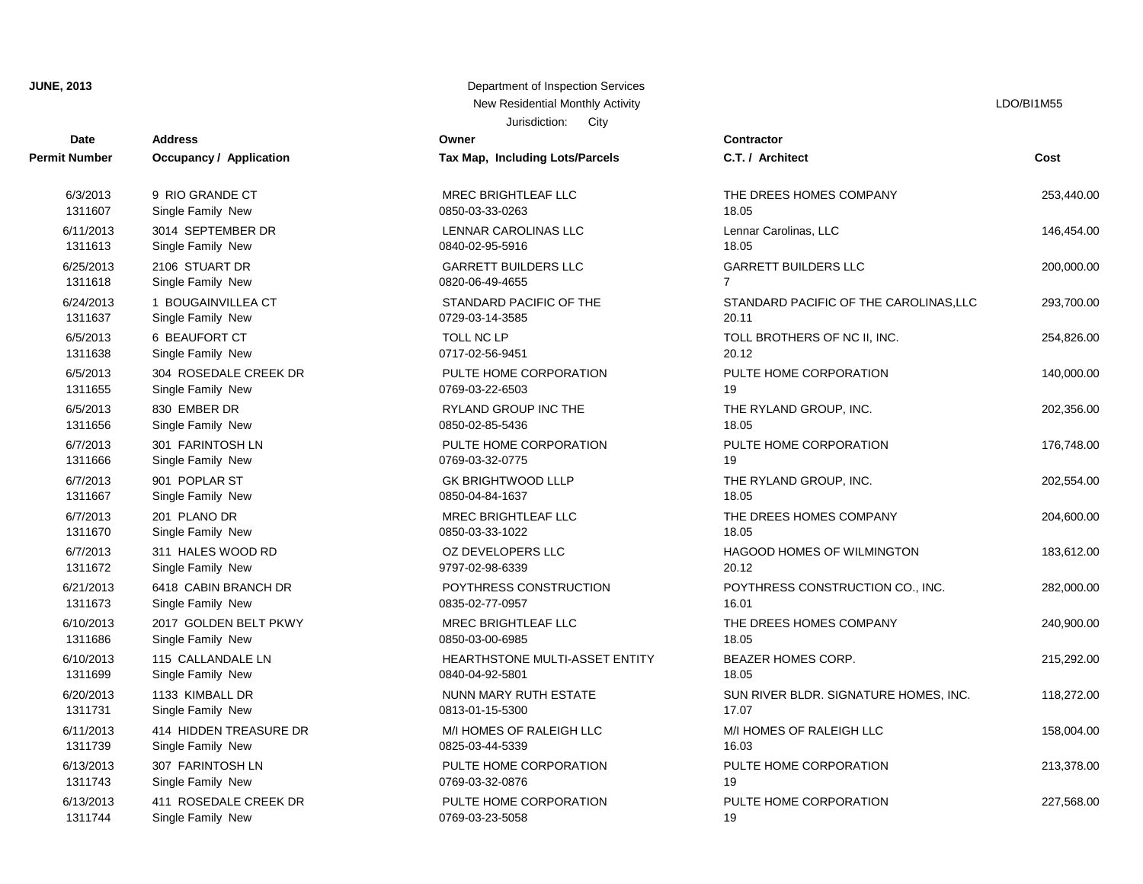| Date                 | <b>Address</b>                 | Owner                           | Contractor       |
|----------------------|--------------------------------|---------------------------------|------------------|
| <b>Permit Number</b> | <b>Occupancy / Application</b> | Tax Map, Including Lots/Parcels | C.T. / Arch      |
| 6/3/2013             | 9 RIO GRANDE CT                | <b>MREC BRIGHTLEAF LLC</b>      | THE DREE         |
| 1311607              | Single Family New              | 0850-03-33-0263                 | 18.05            |
| 6/11/2013            | 3014 SEPTEMBER DR              | LENNAR CAROLINAS LLC            | Lennar Car       |
| 1311613              | Single Family New              | 0840-02-95-5916                 | 18.05            |
| 6/25/2013            | 2106 STUART DR                 | <b>GARRETT BUILDERS LLC</b>     | <b>GARRETT</b>   |
| 1311618              | Single Family New              | 0820-06-49-4655                 | $\overline{7}$   |
| 6/24/2013            | 1 BOUGAINVILLEA CT             | STANDARD PACIFIC OF THE         | <b>STANDARI</b>  |
| 1311637              | Single Family New              | 0729-03-14-3585                 | 20.11            |
| 6/5/2013             | 6 BEAUFORT CT                  | <b>TOLL NC LP</b>               | <b>TOLL BRO</b>  |
| 1311638              | Single Family New              | 0717-02-56-9451                 | 20.12            |
| 6/5/2013             | 304 ROSEDALE CREEK DR          | PULTE HOME CORPORATION          | PULTE HO         |
| 1311655              | Single Family New              | 0769-03-22-6503                 | 19               |
| 6/5/2013             | 830 EMBER DR                   | RYLAND GROUP INC THE            | <b>THE RYLA</b>  |
| 1311656              | Single Family New              | 0850-02-85-5436                 | 18.05            |
| 6/7/2013             | 301 FARINTOSH LN               | PULTE HOME CORPORATION          | PULTE HO         |
| 1311666              | Single Family New              | 0769-03-32-0775                 | 19               |
| 6/7/2013             | 901 POPLAR ST                  | <b>GK BRIGHTWOOD LLLP</b>       | THE RYLA         |
| 1311667              | Single Family New              | 0850-04-84-1637                 | 18.05            |
| 6/7/2013             | 201 PLANO DR                   | <b>MREC BRIGHTLEAF LLC</b>      | THE DREE         |
| 1311670              | Single Family New              | 0850-03-33-1022                 | 18.05            |
| 6/7/2013             | 311 HALES WOOD RD              | OZ DEVELOPERS LLC               | HAGOOD I         |
| 1311672              | Single Family New              | 9797-02-98-6339                 | 20.12            |
| 6/21/2013            | 6418 CABIN BRANCH DR           | POYTHRESS CONSTRUCTION          | POYTHRE          |
| 1311673              | Single Family New              | 0835-02-77-0957                 | 16.01            |
| 6/10/2013            | 2017 GOLDEN BELT PKWY          | MREC BRIGHTLEAF LLC             | THE DREE         |
| 1311686              | Single Family New              | 0850-03-00-6985                 | 18.05            |
| 6/10/2013            | 115 CALLANDALE LN              | HEARTHSTONE MULTI-ASSET ENTITY  | <b>BEAZER H</b>  |
| 1311699              | Single Family New              | 0840-04-92-5801                 | 18.05            |
| 6/20/2013            | 1133 KIMBALL DR                | NUNN MARY RUTH ESTATE           | <b>SUN RIVER</b> |
| 1311731              | Single Family New              | 0813-01-15-5300                 | 17.07            |
| 6/11/2013            | 414 HIDDEN TREASURE DR         | M/I HOMES OF RALEIGH LLC        | M/I HOMES        |
| 1311739              | Single Family New              | 0825-03-44-5339                 | 16.03            |
| 6/13/2013            | 307 FARINTOSH LN               | PULTE HOME CORPORATION          | PULTE HO         |
| 1311743              | Single Family New              | 0769-03-32-0876                 | 19               |
| 6/13/2013            | 411 ROSEDALE CREEK DR          | PULTE HOME CORPORATION          | PULTE HO         |
| 1311744              | Single Family New              | 0769-03-23-5058                 | 19               |

#### Jurisdiction: City **JUNE, 2013** Department of Inspection Services New Residential Monthly Activity **LOO/BI1M55**

| Date                                                                            | <b>Address</b>          | Owner                           | <b>Contractor</b>                      |            |
|---------------------------------------------------------------------------------|-------------------------|---------------------------------|----------------------------------------|------------|
| <b>Number</b>                                                                   | Occupancy / Application | Tax Map, Including Lots/Parcels | C.T. / Architect                       | Cost       |
| 6/3/2013                                                                        | 9 RIO GRANDE CT         | MREC BRIGHTLEAF LLC             | THE DREES HOMES COMPANY                | 253,440.00 |
| 1311607                                                                         | Single Family New       | 0850-03-33-0263                 | 18.05                                  |            |
| 3/11/2013                                                                       | 3014 SEPTEMBER DR       | LENNAR CAROLINAS LLC            | Lennar Carolinas, LLC                  | 146,454.00 |
| 1311613                                                                         | Single Family New       | 0840-02-95-5916                 | 18.05                                  |            |
| 3/25/2013                                                                       | 2106 STUART DR          | <b>GARRETT BUILDERS LLC</b>     | <b>GARRETT BUILDERS LLC</b>            | 200,000.00 |
| 1311618                                                                         | Single Family New       | 0820-06-49-4655                 | $\overline{7}$                         |            |
| 3/24/2013                                                                       | 1 BOUGAINVILLEA CT      | STANDARD PACIFIC OF THE         | STANDARD PACIFIC OF THE CAROLINAS, LLC | 293,700.00 |
| 1311637                                                                         | Single Family New       | 0729-03-14-3585                 | 20.11                                  |            |
| 6/5/2013                                                                        | 6 BEAUFORT CT           | TOLL NC LP                      | TOLL BROTHERS OF NC II, INC.           | 254,826.00 |
| 1311638                                                                         | Single Family New       | 0717-02-56-9451                 | 20.12                                  |            |
| 6/5/2013                                                                        | 304 ROSEDALE CREEK DR   | PULTE HOME CORPORATION          | PULTE HOME CORPORATION                 | 140,000.00 |
| 1311655                                                                         | Single Family New       | 0769-03-22-6503                 | 19                                     |            |
| 6/5/2013                                                                        | 830 EMBER DR            | <b>RYLAND GROUP INC THE</b>     | THE RYLAND GROUP, INC.                 | 202,356.00 |
| 1311656                                                                         | Single Family New       | 0850-02-85-5436                 | 18.05                                  |            |
| 6/7/2013                                                                        | 301 FARINTOSH LN        | PULTE HOME CORPORATION          | PULTE HOME CORPORATION                 | 176,748.00 |
| 1311666                                                                         | Single Family New       | 0769-03-32-0775                 | 19                                     |            |
| 6/7/2013                                                                        | 901 POPLAR ST           | <b>GK BRIGHTWOOD LLLP</b>       | THE RYLAND GROUP, INC.                 | 202,554.00 |
| 1311667                                                                         | Single Family New       | 0850-04-84-1637                 | 18.05                                  |            |
| 6/7/2013                                                                        | 201 PLANO DR            | <b>MREC BRIGHTLEAF LLC</b>      | THE DREES HOMES COMPANY                | 204,600.00 |
| 1311670                                                                         | Single Family New       | 0850-03-33-1022                 | 18.05                                  |            |
| 6/7/2013                                                                        | 311 HALES WOOD RD       | OZ DEVELOPERS LLC               | HAGOOD HOMES OF WILMINGTON             | 183,612.00 |
| 1311672                                                                         | Single Family New       | 9797-02-98-6339                 | 20.12                                  |            |
| 3/21/2013                                                                       | 6418 CABIN BRANCH DR    | POYTHRESS CONSTRUCTION          | POYTHRESS CONSTRUCTION CO., INC.       | 282,000.00 |
| 1311673                                                                         | Single Family New       | 0835-02-77-0957                 | 16.01                                  |            |
| 3/10/2013                                                                       | 2017 GOLDEN BELT PKWY   | MREC BRIGHTLEAF LLC             | THE DREES HOMES COMPANY                | 240,900.00 |
| 1311686                                                                         | Single Family New       | 0850-03-00-6985                 | 18.05                                  |            |
| 3/10/2013                                                                       | 115 CALLANDALE LN       | HEARTHSTONE MULTI-ASSET ENTITY  | <b>BEAZER HOMES CORP.</b>              | 215,292.00 |
| 1311699                                                                         | Single Family New       | 0840-04-92-5801                 | 18.05                                  |            |
| 3/20/2013                                                                       | 1133 KIMBALL DR         | NUNN MARY RUTH ESTATE           | SUN RIVER BLDR. SIGNATURE HOMES, INC.  | 118,272.00 |
| 1311731                                                                         | Single Family New       | 0813-01-15-5300                 | 17.07                                  |            |
| 3/11/2013                                                                       | 414 HIDDEN TREASURE DR  | M/I HOMES OF RALEIGH LLC        | M/I HOMES OF RALEIGH LLC               | 158,004.00 |
| 1311739                                                                         | Single Family New       | 0825-03-44-5339                 | 16.03                                  |            |
| 3/13/2013                                                                       | 307 FARINTOSH LN        | PULTE HOME CORPORATION          | PULTE HOME CORPORATION                 | 213,378.00 |
| 1311743                                                                         | Single Family New       | 0769-03-32-0876                 | 19                                     |            |
| 3/13/2013                                                                       | 411 ROSEDALE CREEK DR   | PULTE HOME CORPORATION          | PULTE HOME CORPORATION                 | 227,568.00 |
| $\lambda$ $\Omega$ $\lambda$ $\lambda$ $\overline{\lambda}$ $\lambda$ $\lambda$ | Obeyed a Francis Martin | 2700.02.02.505                  | $\sqrt{2}$                             |            |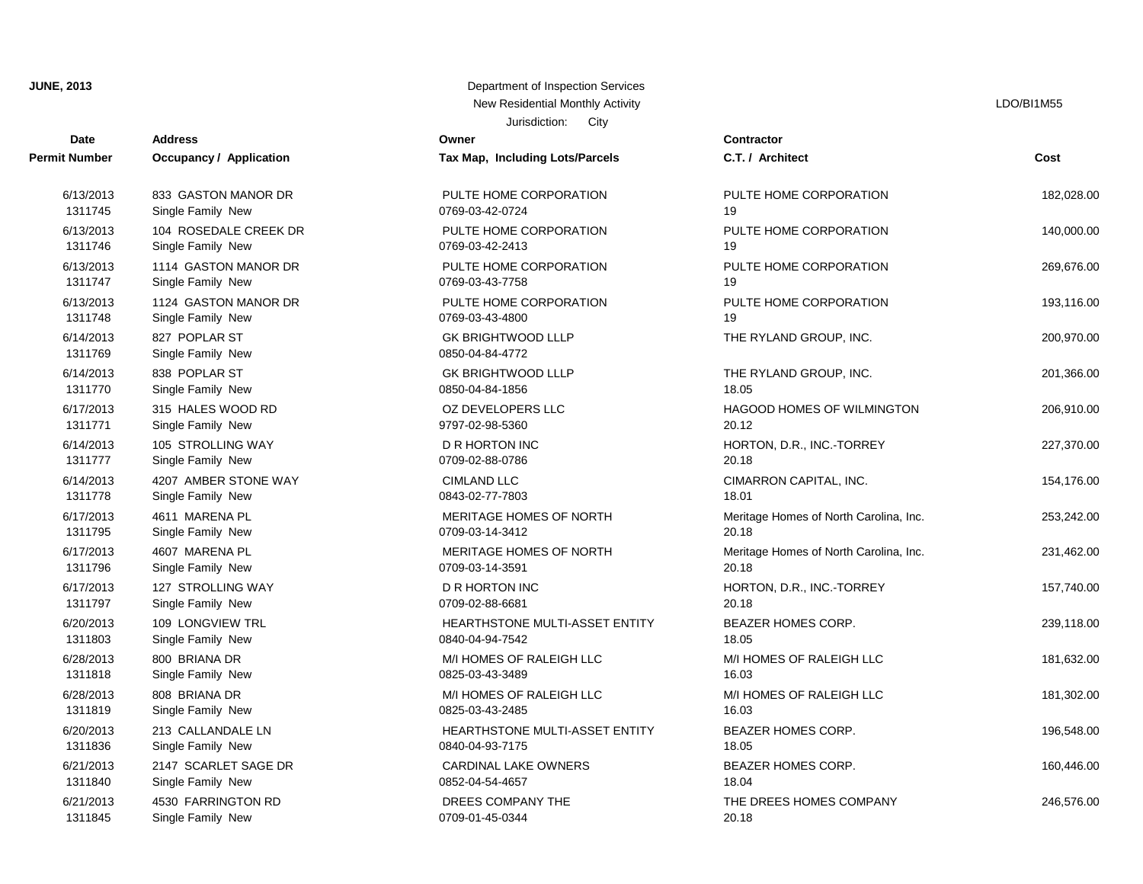**JUNE, 2013** Department of Inspection Services Services Services Services Services Services Services Services Services Services Services Services Services Services Services Services Services Services Services Services Serv

| Date                 | <b>Address</b>                     | Owner                                        | <b>Contractor</b>                      |            |
|----------------------|------------------------------------|----------------------------------------------|----------------------------------------|------------|
| <b>Permit Number</b> | <b>Occupancy / Application</b>     | Tax Map, Including Lots/Parcels              | C.T. / Architect                       | Cost       |
| 6/13/2013            | 833 GASTON MANOR DR                | PULTE HOME CORPORATION                       | PULTE HOME CORPORATION                 | 182,028.00 |
| 1311745              | Single Family New                  | 0769-03-42-0724                              | 19                                     |            |
| 6/13/2013            | 104 ROSEDALE CREEK DR              | PULTE HOME CORPORATION                       | PULTE HOME CORPORATION                 | 140,000.00 |
| 1311746              | Single Family New                  | 0769-03-42-2413                              | 19                                     |            |
| 6/13/2013            | 1114 GASTON MANOR DR               | PULTE HOME CORPORATION                       | PULTE HOME CORPORATION                 | 269,676.00 |
| 1311747              | Single Family New                  | 0769-03-43-7758                              | 19                                     |            |
| 6/13/2013            | 1124 GASTON MANOR DR               | PULTE HOME CORPORATION                       | PULTE HOME CORPORATION                 | 193,116.00 |
| 1311748              | Single Family New                  | 0769-03-43-4800                              | 19                                     |            |
| 6/14/2013<br>1311769 | 827 POPLAR ST<br>Single Family New | <b>GK BRIGHTWOOD LLLP</b><br>0850-04-84-4772 | THE RYLAND GROUP, INC.                 | 200,970.00 |
| 6/14/2013            | 838 POPLAR ST                      | <b>GK BRIGHTWOOD LLLP</b>                    | THE RYLAND GROUP, INC.                 | 201,366.00 |
| 1311770              | Single Family New                  | 0850-04-84-1856                              | 18.05                                  |            |
| 6/17/2013            | 315 HALES WOOD RD                  | OZ DEVELOPERS LLC                            | HAGOOD HOMES OF WILMINGTON             | 206,910.00 |
| 1311771              | Single Family New                  | 9797-02-98-5360                              | 20.12                                  |            |
| 6/14/2013            | 105 STROLLING WAY                  | <b>D R HORTON INC</b>                        | HORTON, D.R., INC.-TORREY              | 227,370.00 |
| 1311777              | Single Family New                  | 0709-02-88-0786                              | 20.18                                  |            |
| 6/14/2013            | 4207 AMBER STONE WAY               | <b>CIMLAND LLC</b>                           | CIMARRON CAPITAL, INC.                 | 154,176.00 |
| 1311778              | Single Family New                  | 0843-02-77-7803                              | 18.01                                  |            |
| 6/17/2013            | 4611 MARENA PL                     | MERITAGE HOMES OF NORTH                      | Meritage Homes of North Carolina, Inc. | 253,242.00 |
| 1311795              | Single Family New                  | 0709-03-14-3412                              | 20.18                                  |            |
| 6/17/2013            | 4607 MARENA PL                     | MERITAGE HOMES OF NORTH                      | Meritage Homes of North Carolina, Inc. | 231,462.00 |
| 1311796              | Single Family New                  | 0709-03-14-3591                              | 20.18                                  |            |
| 6/17/2013            | 127 STROLLING WAY                  | <b>D R HORTON INC</b>                        | HORTON, D.R., INC.-TORREY              | 157,740.00 |
| 1311797              | Single Family New                  | 0709-02-88-6681                              | 20.18                                  |            |
| 6/20/2013            | 109 LONGVIEW TRL                   | HEARTHSTONE MULTI-ASSET ENTITY               | BEAZER HOMES CORP.                     | 239,118.00 |
| 1311803              | Single Family New                  | 0840-04-94-7542                              | 18.05                                  |            |
| 6/28/2013            | 800 BRIANA DR                      | M/I HOMES OF RALEIGH LLC                     | M/I HOMES OF RALEIGH LLC               | 181,632.00 |
| 1311818              | Single Family New                  | 0825-03-43-3489                              | 16.03                                  |            |
| 6/28/2013            | 808 BRIANA DR                      | M/I HOMES OF RALEIGH LLC                     | M/I HOMES OF RALEIGH LLC               | 181,302.00 |
| 1311819              | Single Family New                  | 0825-03-43-2485                              | 16.03                                  |            |
| 6/20/2013            | 213 CALLANDALE LN                  | HEARTHSTONE MULTI-ASSET ENTITY               | BEAZER HOMES CORP.                     | 196,548.00 |
| 1311836              | Single Family New                  | 0840-04-93-7175                              | 18.05                                  |            |
| 6/21/2013            | 2147 SCARLET SAGE DR               | CARDINAL LAKE OWNERS                         | BEAZER HOMES CORP.                     | 160,446.00 |
| 1311840              | Single Family New                  | 0852-04-54-4657                              | 18.04                                  |            |
| 6/21/2013            | 4530 FARRINGTON RD                 | DREES COMPANY THE                            | THE DREES HOMES COMPANY                | 246,576.00 |
| 1311845              | Single Family New                  | 0709-01-45-0344                              | 20.18                                  |            |

| epartment of Inspection Services |      |  |  |
|----------------------------------|------|--|--|
| New Residential Monthly Activity |      |  |  |
| Jurisdiction:                    | City |  |  |

LDO/BI1M55

| Contractor                                      |            |
|-------------------------------------------------|------------|
| C.T. / Architect                                | Cost       |
| PULTE HOME CORPORATION<br>19                    | 182,028.00 |
| PULTE HOME CORPORATION<br>19                    | 140,000.00 |
| PULTE HOME CORPORATION<br>19                    | 269,676.00 |
| PULTE HOME CORPORATION<br>19                    | 193,116.00 |
| THE RYLAND GROUP, INC.                          | 200,970.00 |
| THE RYLAND GROUP, INC.<br>18.05                 | 201,366.00 |
| <b>HAGOOD HOMES OF WILMINGTON</b><br>20.12      | 206,910.00 |
| HORTON, D.R., INC.-TORREY<br>20.18              | 227,370.00 |
| CIMARRON CAPITAL, INC.<br>18.01                 | 154,176.00 |
| Meritage Homes of North Carolina, Inc.<br>20.18 | 253,242.00 |
| Meritage Homes of North Carolina, Inc.<br>20.18 | 231,462.00 |
| HORTON, D.R., INC.-TORREY<br>20.18              | 157,740.00 |
| <b>BEAZER HOMES CORP.</b><br>18.05              | 239,118.00 |
| M/I HOMES OF RALEIGH LLC<br>16.03               | 181,632.00 |
| M/I HOMES OF RALEIGH LLC<br>16.03               | 181,302.00 |
| <b>BEAZER HOMES CORP.</b><br>18.05              | 196,548.00 |
| BEAZER HOMES CORP.<br>18.04                     | 160,446.00 |
| THE DREES HOMES COMPANY<br>20.40                | 246,576.00 |